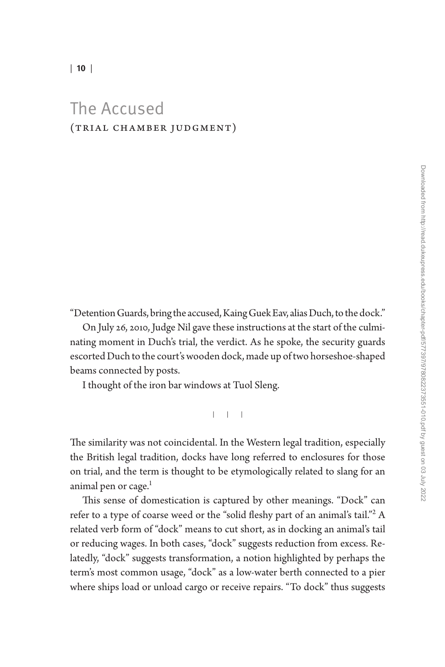## The Accused

[\(trial chamber judgment\)](#page--1-0)

"Detention Guards, bring the accused, Kaing Guek Eav, alias Duch, to the dock." On July 26, 2010, Judge Nil gave these instructions at the start of the culminating moment in Duch's trial, the verdict. As he spoke, the security guards escorted Duch to the court's wooden dock, made up of two horseshoe-shaped beams connected by posts.

I thought of the iron bar windows at Tuol Sleng.

| | |

The similarity was not coincidental. In the Western legal tradition, especially the British legal tradition, docks have long referred to enclosures for those on trial, and the term is thought to be etymologically related to slang for an animal pen or cage. $<sup>1</sup>$ </sup>

This sense of domestication is captured by other meanings. "Dock" can refer to a type of coarse weed or the "solid fleshy part of an animal's tail."[2](#page--1-0) A related verb form of "dock" means to cut short, as in docking an animal's tail or reducing wages. In both cases, "dock" suggests reduction from excess. Relatedly, "dock" suggests transformation, a notion highlighted by perhaps the term's most common usage, "dock" as a low-water berth connected to a pier where ships load or unload cargo or receive repairs. "To dock" thus suggests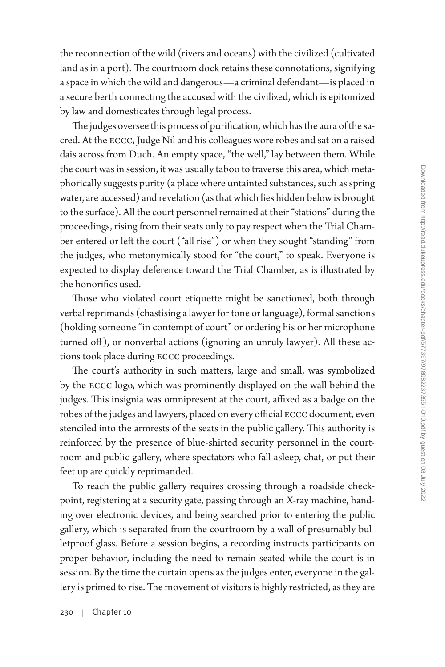the reconnection of the wild (rivers and oceans) with the civilized (cultivated land as in a port). The courtroom dock retains these connotations, signifying a space in which the wild and dangerous—a criminal defendant—is placed in a secure berth connecting the accused with the civilized, which is epitomized by law and domesticates through legal process.

The judges oversee this process of purification, which has the aura of the sacred. At the eccc, Judge Nil and his colleagues wore robes and sat on a raised dais across from Duch. An empty space, "the well," lay between them. While the court was in session, it was usually taboo to traverse this area, which metaphorically suggests purity (a place where untainted substances, such as spring water, are accessed) and revelation (as that which lies hidden below is brought to the surface). All the court personnel remained at their "stations" during the proceedings, rising from their seats only to pay respect when the Trial Chamber entered or left the court ("all rise") or when they sought "standing" from the judges, who metonymically stood for "the court," to speak. Everyone is expected to display deference toward the Trial Chamber, as is illustrated by the honorifics used.

Those who violated court etiquette might be sanctioned, both through verbal reprimands (chastising a lawyer for tone or language), formal sanctions (holding someone "in contempt of court" or ordering his or her microphone turned off), or nonverbal actions (ignoring an unruly lawyer). All these actions took place during eccc proceedings.

The court's authority in such matters, large and small, was symbolized by the eccc logo, which was prominently displayed on the wall behind the judges. This insignia was omnipresent at the court, affixed as a badge on the robes of the judges and lawyers, placed on every official eccc document, even stenciled into the armrests of the seats in the public gallery. This authority is reinforced by the presence of blue-shirted security personnel in the courtroom and public gallery, where spectators who fall asleep, chat, or put their feet up are quickly reprimanded.

To reach the public gallery requires crossing through a roadside checkpoint, registering at a security gate, passing through an X-ray machine, handing over electronic devices, and being searched prior to entering the public gallery, which is separated from the courtroom by a wall of presumably bulletproof glass. Before a session begins, a recording instructs participants on proper behavior, including the need to remain seated while the court is in session. By the time the curtain opens as the judges enter, everyone in the gallery is primed to rise. The movement of visitors is highly restricted, as they are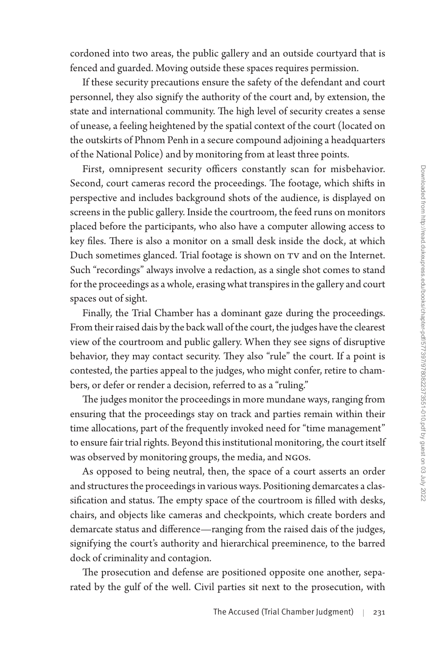cordoned into two areas, the public gallery and an outside courtyard that is fenced and guarded. Moving outside these spaces requires permission.

If these security precautions ensure the safety of the defendant and court personnel, they also signify the authority of the court and, by extension, the state and international community. The high level of security creates a sense of unease, a feeling heightened by the spatial context of the court (located on the outskirts of Phnom Penh in a secure compound adjoining a headquarters of the National Police) and by monitoring from at least three points.

First, omnipresent security officers constantly scan for misbehavior. Second, court cameras record the proceedings. The footage, which shifts in perspective and includes background shots of the audience, is displayed on screens in the public gallery. Inside the courtroom, the feed runs on monitors placed before the participants, who also have a computer allowing access to key files. There is also a monitor on a small desk inside the dock, at which Duch sometimes glanced. Trial footage is shown on TV and on the Internet. Such "recordings" always involve a redaction, as a single shot comes to stand for the proceedings as a whole, erasing what transpires in the gallery and court spaces out of sight.

Finally, the Trial Chamber has a dominant gaze during the proceedings. From their raised dais by the back wall of the court, the judges have the clearest view of the courtroom and public gallery. When they see signs of disruptive behavior, they may contact security. They also "rule" the court. If a point is contested, the parties appeal to the judges, who might confer, retire to chambers, or defer or render a decision, referred to as a "ruling."

The judges monitor the proceedings in more mundane ways, ranging from ensuring that the proceedings stay on track and parties remain within their time allocations, part of the frequently invoked need for "time management" to ensure fair trial rights. Beyond this institutional monitoring, the court itself was observed by monitoring groups, the media, and ngos.

As opposed to being neutral, then, the space of a court asserts an order and structures the proceedings in various ways. Positioning demarcates a classification and status. The empty space of the courtroom is filled with desks, chairs, and objects like cameras and checkpoints, which create borders and demarcate status and difference—ranging from the raised dais of the judges, signifying the court's authority and hierarchical preeminence, to the barred dock of criminality and contagion.

The prosecution and defense are positioned opposite one another, separated by the gulf of the well. Civil parties sit next to the prosecution, with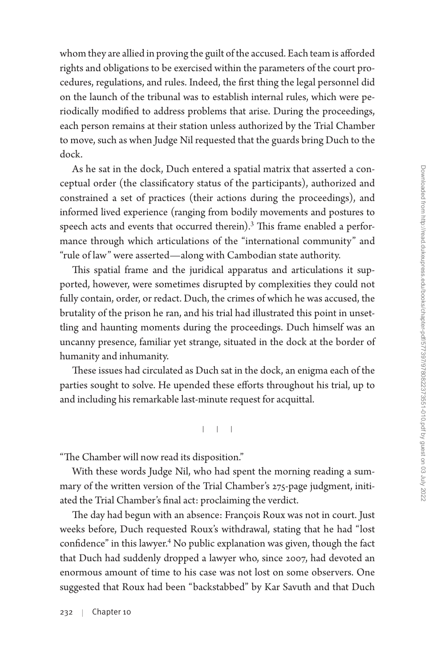whom they are allied in proving the guilt of the accused. Each team is afforded rights and obligations to be exercised within the parameters of the court procedures, regulations, and rules. Indeed, the first thing the legal personnel did on the launch of the tribunal was to establish internal rules, which were periodically modified to address problems that arise. During the proceedings, each person remains at their station unless authorized by the Trial Chamber to move, such as when Judge Nil requested that the guards bring Duch to the dock.

As he sat in the dock, Duch entered a spatial matrix that asserted a conceptual order (the classificatory status of the participants), authorized and constrained a set of practices (their actions during the proceedings), and informed lived experience (ranging from bodily movements and postures to speech acts and events that occurred therein).<sup>3</sup> This frame enabled a performance through which articulations of the "international community" and "rule of law" were asserted—along with Cambodian state authority.

This spatial frame and the juridical apparatus and articulations it supported, however, were sometimes disrupted by complexities they could not fully contain, order, or redact. Duch, the crimes of which he was accused, the brutality of the prison he ran, and his trial had illustrated this point in unsettling and haunting moments during the proceedings. Duch himself was an uncanny presence, familiar yet strange, situated in the dock at the border of humanity and inhumanity.

These issues had circulated as Duch sat in the dock, an enigma each of the parties sought to solve. He upended these efforts throughout his trial, up to and including his remarkable last-minute request for acquittal.

| | |

"The Chamber will now read its disposition."

With these words Judge Nil, who had spent the morning reading a summary of the written version of the Trial Chamber's 275-page judgment, initiated the Trial Chamber's final act: proclaiming the verdict.

The day had begun with an absence: François Roux was not in court. Just weeks before, Duch requested Roux's withdrawal, stating that he had "lost confidence" in this lawyer.<sup>[4](#page--1-0)</sup> No public explanation was given, though the fact that Duch had suddenly dropped a lawyer who, since 2007, had devoted an enormous amount of time to his case was not lost on some observers. One suggested that Roux had been "backstabbed" by Kar Savuth and that Duch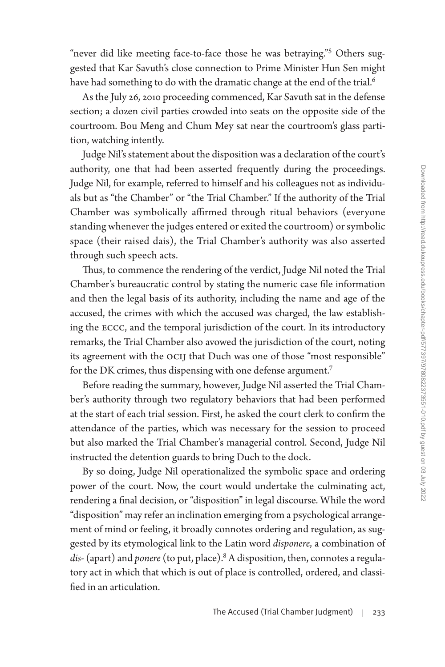"never did like meeting face-to-face those he was betraying."[5](#page--1-0) Others suggested that Kar Savuth's close connection to Prime Minister Hun Sen might have had something to do with the dramatic change at the end of the trial.<sup>6</sup>

As the July 26, 2010 proceeding commenced, Kar Savuth sat in the defense section; a dozen civil parties crowded into seats on the opposite side of the courtroom. Bou Meng and Chum Mey sat near the courtroom's glass partition, watching intently.

Judge Nil's statement about the disposition was a declaration of the court's authority, one that had been asserted frequently during the proceedings. Judge Nil, for example, referred to himself and his colleagues not as individuals but as "the Chamber" or "the Trial Chamber." If the authority of the Trial Chamber was symbolically affirmed through ritual behaviors (everyone standing whenever the judges entered or exited the courtroom) or symbolic space (their raised dais), the Trial Chamber's authority was also asserted through such speech acts.

Thus, to commence the rendering of the verdict, Judge Nil noted the Trial Chamber's bureaucratic control by stating the numeric case file information and then the legal basis of its authority, including the name and age of the accused, the crimes with which the accused was charged, the law establishing the eccc, and the temporal jurisdiction of the court. In its introductory remarks, the Trial Chamber also avowed the jurisdiction of the court, noting its agreement with the OCIJ that Duch was one of those "most responsible" for the DK crimes, thus dispensing with one defense argument.<sup>[7](#page--1-0)</sup>

Before reading the summary, however, Judge Nil asserted the Trial Chamber's authority through two regulatory behaviors that had been performed at the start of each trial session. First, he asked the court clerk to confirm the attendance of the parties, which was necessary for the session to proceed but also marked the Trial Chamber's managerial control. Second, Judge Nil instructed the detention guards to bring Duch to the dock.

By so doing, Judge Nil operationalized the symbolic space and ordering power of the court. Now, the court would undertake the culminating act, rendering a final decision, or "disposition" in legal discourse. While the word "disposition" may refer an inclination emerging from a psychological arrangement of mind or feeling, it broadly connotes ordering and regulation, as suggested by its etymological link to the Latin word *disponere*, a combination of *dis-* (apart) and *ponere* (to put, place).[8](#page--1-0) A disposition, then, connotes a regulatory act in which that which is out of place is controlled, ordered, and classified in an articulation.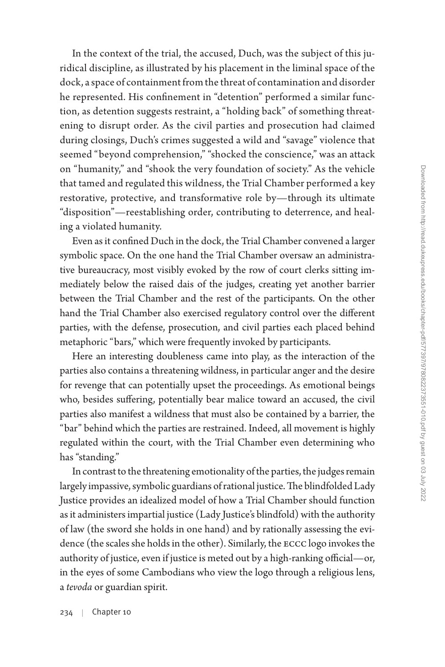In the context of the trial, the accused, Duch, was the subject of this juridical discipline, as illustrated by his placement in the liminal space of the dock, a space of containment from the threat of contamination and disorder he represented. His confinement in "detention" performed a similar function, as detention suggests restraint, a "holding back" of something threatening to disrupt order. As the civil parties and prosecution had claimed during closings, Duch's crimes suggested a wild and "savage" violence that seemed "beyond comprehension," "shocked the conscience," was an attack on "humanity," and "shook the very foundation of society." As the vehicle that tamed and regulated this wildness, the Trial Chamber performed a key restorative, protective, and transformative role by—through its ultimate "disposition"—reestablishing order, contributing to deterrence, and healing a violated humanity.

Even as it confined Duch in the dock, the Trial Chamber convened a larger symbolic space. On the one hand the Trial Chamber oversaw an administrative bureaucracy, most visibly evoked by the row of court clerks sitting immediately below the raised dais of the judges, creating yet another barrier between the Trial Chamber and the rest of the participants. On the other hand the Trial Chamber also exercised regulatory control over the different parties, with the defense, prosecution, and civil parties each placed behind metaphoric "bars," which were frequently invoked by participants.

Here an interesting doubleness came into play, as the interaction of the parties also contains a threatening wildness, in particular anger and the desire for revenge that can potentially upset the proceedings. As emotional beings who, besides suffering, potentially bear malice toward an accused, the civil parties also manifest a wildness that must also be contained by a barrier, the "bar" behind which the parties are restrained. Indeed, all movement is highly regulated within the court, with the Trial Chamber even determining who has "standing."

In contrast to the threatening emotionality of the parties, the judges remain largely impassive, symbolic guardians of rational justice. The blindfolded Lady Justice provides an idealized model of how a Trial Chamber should function as it administers impartial justice (Lady Justice's blindfold) with the authority of law (the sword she holds in one hand) and by rationally assessing the evidence (the scales she holds in the other). Similarly, the eccc logo invokes the authority of justice, even if justice is meted out by a high-ranking official—or, in the eyes of some Cambodians who view the logo through a religious lens, a *tevoda* or guardian spirit.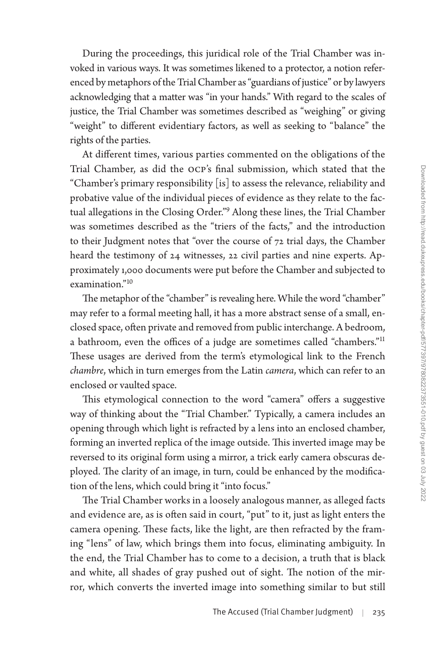During the proceedings, this juridical role of the Trial Chamber was invoked in various ways. It was sometimes likened to a protector, a notion referenced by metaphors of the Trial Chamber as "guardians of justice" or by lawyers acknowledging that a matter was "in your hands." With regard to the scales of justice, the Trial Chamber was sometimes described as "weighing" or giving "weight" to different evidentiary factors, as well as seeking to "balance" the rights of the parties.

At different times, various parties commented on the obligations of the Trial Chamber, as did the ocp's final submission, which stated that the "Chamber's primary responsibility [is] to assess the relevance, reliability and probative value of the individual pieces of evidence as they relate to the factual allegations in the Closing Order."[9](#page--1-0) Along these lines, the Trial Chamber was sometimes described as the "triers of the facts," and the introduction to their Judgment notes that "over the course of 72 trial days, the Chamber heard the testimony of 24 witnesses, 22 civil parties and nine experts. Approximately 1,000 documents were put before the Chamber and subjected to examination."[10](#page--1-0)

The metaphor of the "chamber" is revealing here. While the word "chamber" may refer to a formal meeting hall, it has a more abstract sense of a small, enclosed space, often private and removed from public interchange. A bedroom, a bathroom, even the offices of a judge are sometimes called "chambers.["11](#page--1-0) These usages are derived from the term's etymological link to the French *chambre*, which in turn emerges from the Latin *camera*, which can refer to an enclosed or vaulted space.

This etymological connection to the word "camera" offers a suggestive way of thinking about the "Trial Chamber." Typically, a camera includes an opening through which light is refracted by a lens into an enclosed chamber, forming an inverted replica of the image outside. This inverted image may be reversed to its original form using a mirror, a trick early camera obscuras deployed. The clarity of an image, in turn, could be enhanced by the modification of the lens, which could bring it "into focus."

The Trial Chamber works in a loosely analogous manner, as alleged facts and evidence are, as is often said in court, "put" to it, just as light enters the camera opening. These facts, like the light, are then refracted by the framing "lens" of law, which brings them into focus, eliminating ambiguity. In the end, the Trial Chamber has to come to a decision, a truth that is black and white, all shades of gray pushed out of sight. The notion of the mirror, which converts the inverted image into something similar to but still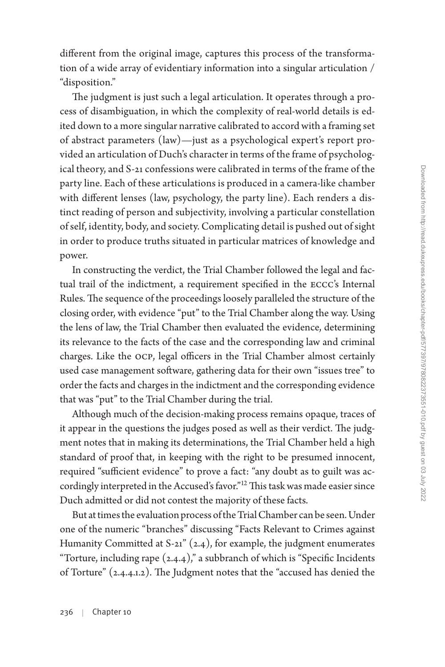different from the original image, captures this process of the transformation of a wide array of evidentiary information into a singular articulation / "disposition."

The judgment is just such a legal articulation. It operates through a process of disambiguation, in which the complexity of real-world details is edited down to a more singular narrative calibrated to accord with a framing set of abstract parameters (law)—just as a psychological expert's report provided an articulation of Duch's character in terms of the frame of psychological theory, and S-21 confessions were calibrated in terms of the frame of the party line. Each of these articulations is produced in a camera-like chamber with different lenses (law, psychology, the party line). Each renders a distinct reading of person and subjectivity, involving a particular constellation of self, identity, body, and society. Complicating detail is pushed out of sight in order to produce truths situated in particular matrices of knowledge and power.

In constructing the verdict, the Trial Chamber followed the legal and factual trail of the indictment, a requirement specified in the eccc's Internal Rules. The sequence of the proceedings loosely paralleled the structure of the closing order, with evidence "put" to the Trial Chamber along the way. Using the lens of law, the Trial Chamber then evaluated the evidence, determining its relevance to the facts of the case and the corresponding law and criminal charges. Like the ocp, legal officers in the Trial Chamber almost certainly used case management software, gathering data for their own "issues tree" to order the facts and charges in the indictment and the corresponding evidence that was "put" to the Trial Chamber during the trial.

Although much of the decision-making process remains opaque, traces of it appear in the questions the judges posed as well as their verdict. The judgment notes that in making its determinations, the Trial Chamber held a high standard of proof that, in keeping with the right to be presumed innocent, required "sufficient evidence" to prove a fact: "any doubt as to guilt was accordingly interpreted in the Accused's favor."[12](#page--1-0) This task was made easier since Duch admitted or did not contest the majority of these facts.

But at times the evaluation process of the Trial Chamber can be seen. Under one of the numeric "branches" discussing "Facts Relevant to Crimes against Humanity Committed at S-21" (2.4), for example, the judgment enumerates "Torture, including rape (2.4.4)," a subbranch of which is "Specific Incidents of Torture" (2.4.4.1.2). The Judgment notes that the "accused has denied the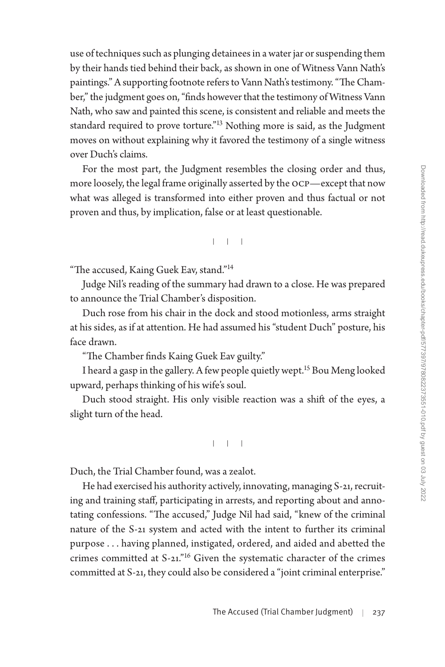use of techniques such as plunging detainees in a water jar or suspending them by their hands tied behind their back, as shown in one of Witness Vann Nath's paintings." A supporting footnote refers to Vann Nath's testimony. "The Chamber," the judgment goes on, "finds however that the testimony of Witness Vann Nath, who saw and painted this scene, is consistent and reliable and meets the standard required to prove torture."<sup>13</sup> Nothing more is said, as the Judgment moves on without explaining why it favored the testimony of a single witness over Duch's claims.

For the most part, the Judgment resembles the closing order and thus, more loosely, the legal frame originally asserted by the ocp—except that now what was alleged is transformed into either proven and thus factual or not proven and thus, by implication, false or at least questionable.

| | |

"The accused, Kaing Guek Eav, stand.["14](#page--1-0)

Judge Nil's reading of the summary had drawn to a close. He was prepared to announce the Trial Chamber's disposition.

Duch rose from his chair in the dock and stood motionless, arms straight at his sides, as if at attention. He had assumed his "student Duch" posture, his face drawn.

"The Chamber finds Kaing Guek Eav guilty."

I heard a gasp in the gallery. A few people quietly wept.<sup>15</sup> Bou Meng looked upward, perhaps thinking of his wife's soul.

Duch stood straight. His only visible reaction was a shift of the eyes, a slight turn of the head.

| | |

Duch, the Trial Chamber found, was a zealot.

He had exercised his authority actively, innovating, managing S-21, recruiting and training staff, participating in arrests, and reporting about and annotating confessions. "The accused," Judge Nil had said, "knew of the criminal nature of the S-21 system and acted with the intent to further its criminal purpose . . . having planned, instigated, ordered, and aided and abetted the crimes committed at S-21."[16](#page--1-0) Given the systematic character of the crimes committed at S-21, they could also be considered a "joint criminal enterprise."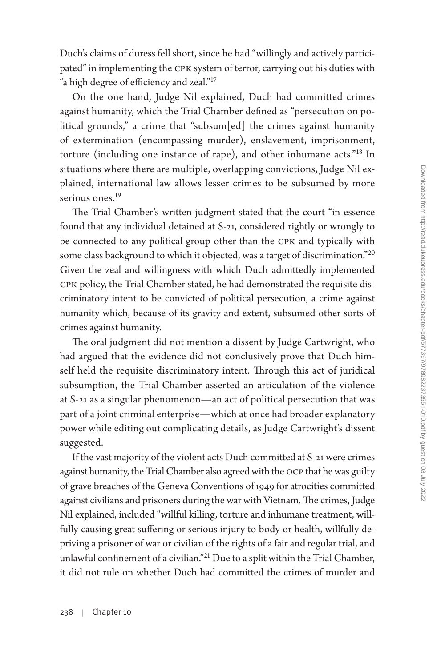Duch's claims of duress fell short, since he had "willingly and actively participated" in implementing the cpk system of terror, carrying out his duties with "a high degree of efficiency and zeal.["17](#page--1-0)

On the one hand, Judge Nil explained, Duch had committed crimes against humanity, which the Trial Chamber defined as "persecution on political grounds," a crime that "subsum[ed] the crimes against humanity of extermination (encompassing murder), enslavement, imprisonment, torture (including one instance of rape), and other inhumane acts."[18](#page--1-0) In situations where there are multiple, overlapping convictions, Judge Nil explained, international law allows lesser crimes to be subsumed by more serious ones <sup>19</sup>

The Trial Chamber's written judgment stated that the court "in essence found that any individual detained at S-21, considered rightly or wrongly to be connected to any political group other than the cpk and typically with some class background to which it objected, was a target of discrimination."<sup>20</sup> Given the zeal and willingness with which Duch admittedly implemented cpk policy, the Trial Chamber stated, he had demonstrated the requisite discriminatory intent to be convicted of political persecution, a crime against humanity which, because of its gravity and extent, subsumed other sorts of crimes against humanity.

The oral judgment did not mention a dissent by Judge Cartwright, who had argued that the evidence did not conclusively prove that Duch himself held the requisite discriminatory intent. Through this act of juridical subsumption, the Trial Chamber asserted an articulation of the violence at S-21 as a singular phenomenon—an act of political persecution that was part of a joint criminal enterprise—which at once had broader explanatory power while editing out complicating details, as Judge Cartwright's dissent suggested.

If the vast majority of the violent acts Duch committed at S-21 were crimes against humanity, the Trial Chamber also agreed with the ocp that he was guilty of grave breaches of the Geneva Conventions of 1949 for atrocities committed against civilians and prisoners during the war with Vietnam. The crimes, Judge Nil explained, included "willful killing, torture and inhumane treatment, willfully causing great suffering or serious injury to body or health, willfully depriving a prisoner of war or civilian of the rights of a fair and regular trial, and unlawful confinement of a civilian."[21](#page--1-0) Due to a split within the Trial Chamber, it did not rule on whether Duch had committed the crimes of murder and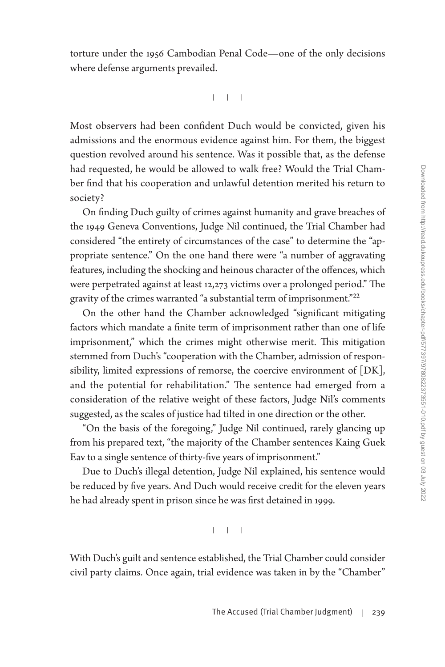torture under the 1956 Cambodian Penal Code—one of the only decisions where defense arguments prevailed.

 $| - | - |$ 

Most observers had been confident Duch would be convicted, given his admissions and the enormous evidence against him. For them, the biggest question revolved around his sentence. Was it possible that, as the defense had requested, he would be allowed to walk free? Would the Trial Chamber find that his cooperation and unlawful detention merited his return to society?

On finding Duch guilty of crimes against humanity and grave breaches of the 1949 Geneva Conventions, Judge Nil continued, the Trial Chamber had considered "the entirety of circumstances of the case" to determine the "appropriate sentence." On the one hand there were "a number of aggravating features, including the shocking and heinous character of the offences, which were perpetrated against at least 12,273 victims over a prolonged period." The gravity of the crimes warranted "a substantial term of imprisonment."[22](#page--1-0)

On the other hand the Chamber acknowledged "significant mitigating factors which mandate a finite term of imprisonment rather than one of life imprisonment," which the crimes might otherwise merit. This mitigation stemmed from Duch's "cooperation with the Chamber, admission of responsibility, limited expressions of remorse, the coercive environment of [DK], and the potential for rehabilitation." The sentence had emerged from a consideration of the relative weight of these factors, Judge Nil's comments suggested, as the scales of justice had tilted in one direction or the other.

"On the basis of the foregoing," Judge Nil continued, rarely glancing up from his prepared text, "the majority of the Chamber sentences Kaing Guek Eav to a single sentence of thirty-five years of imprisonment."

Due to Duch's illegal detention, Judge Nil explained, his sentence would be reduced by five years. And Duch would receive credit for the eleven years he had already spent in prison since he was first detained in 1999.

| | |

With Duch's guilt and sentence established, the Trial Chamber could consider civil party claims. Once again, trial evidence was taken in by the "Chamber"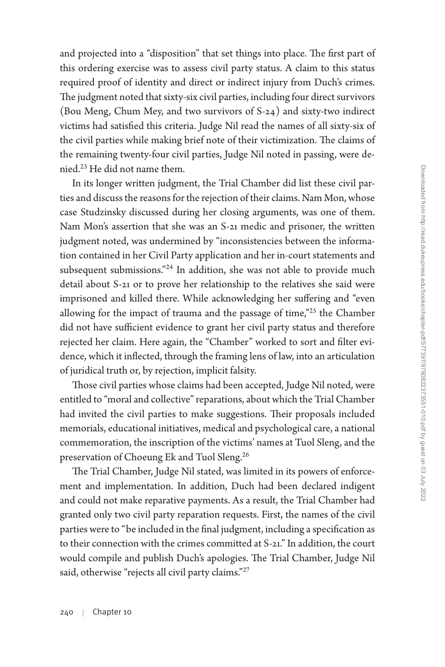and projected into a "disposition" that set things into place. The first part of this ordering exercise was to assess civil party status. A claim to this status required proof of identity and direct or indirect injury from Duch's crimes. The judgment noted that sixty-six civil parties, including four direct survivors (Bou Meng, Chum Mey, and two survivors of S-24) and sixty-two indirect victims had satisfied this criteria. Judge Nil read the names of all sixty-six of the civil parties while making brief note of their victimization. The claims of the remaining twenty-four civil parties, Judge Nil noted in passing, were denied.[23](#page--1-0) He did not name them.

In its longer written judgment, the Trial Chamber did list these civil parties and discuss the reasons for the rejection of their claims. Nam Mon, whose case Studzinsky discussed during her closing arguments, was one of them. Nam Mon's assertion that she was an S-21 medic and prisoner, the written judgment noted, was undermined by "inconsistencies between the information contained in her Civil Party application and her in-court statements and subsequent submissions.["24](#page--1-0) In addition, she was not able to provide much detail about S-21 or to prove her relationship to the relatives she said were imprisoned and killed there. While acknowledging her suffering and "even allowing for the impact of trauma and the passage of time,["25](#page--1-0) the Chamber did not have sufficient evidence to grant her civil party status and therefore rejected her claim. Here again, the "Chamber" worked to sort and filter evidence, which it inflected, through the framing lens of law, into an articulation of juridical truth or, by rejection, implicit falsity.

Those civil parties whose claims had been accepted, Judge Nil noted, were entitled to "moral and collective" reparations, about which the Trial Chamber had invited the civil parties to make suggestions. Their proposals included memorials, educational initiatives, medical and psychological care, a national commemoration, the inscription of the victims' names at Tuol Sleng, and the preservation of Choeung Ek and Tuol Sleng.<sup>26</sup>

The Trial Chamber, Judge Nil stated, was limited in its powers of enforcement and implementation. In addition, Duch had been declared indigent and could not make reparative payments. As a result, the Trial Chamber had granted only two civil party reparation requests. First, the names of the civil parties were to "be included in the final judgment, including a specification as to their connection with the crimes committed at S-21." In addition, the court would compile and publish Duch's apologies. The Trial Chamber, Judge Nil said, otherwise "rejects all civil party claims."[27](#page--1-0)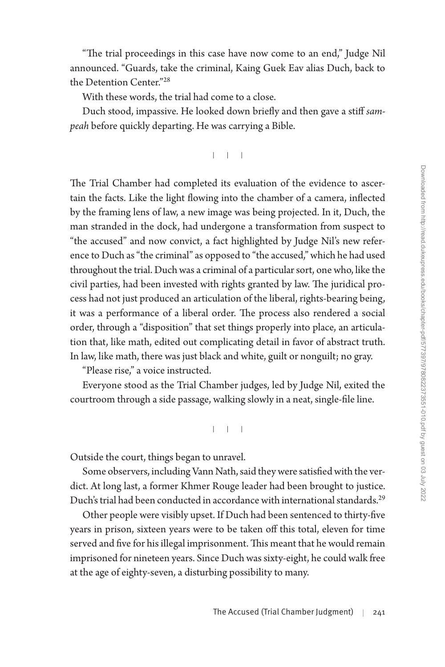"The trial proceedings in this case have now come to an end," Judge Nil announced. "Guards, take the criminal, Kaing Guek Eav alias Duch, back to the Detention Center."[28](#page--1-0)

With these words, the trial had come to a close.

Duch stood, impassive. He looked down briefly and then gave a stiff *sampeah* before quickly departing. He was carrying a Bible.

| | |

The Trial Chamber had completed its evaluation of the evidence to ascertain the facts. Like the light flowing into the chamber of a camera, inflected by the framing lens of law, a new image was being projected. In it, Duch, the man stranded in the dock, had undergone a transformation from suspect to "the accused" and now convict, a fact highlighted by Judge Nil's new reference to Duch as "the criminal" as opposed to "the accused," which he had used throughout the trial. Duch was a criminal of a particular sort, one who, like the civil parties, had been invested with rights granted by law. The juridical process had not just produced an articulation of the liberal, rights-bearing being, it was a performance of a liberal order. The process also rendered a social order, through a "disposition" that set things properly into place, an articulation that, like math, edited out complicating detail in favor of abstract truth. In law, like math, there was just black and white, guilt or nonguilt; no gray.

"Please rise," a voice instructed.

Everyone stood as the Trial Chamber judges, led by Judge Nil, exited the courtroom through a side passage, walking slowly in a neat, single-file line.

| | |

Outside the court, things began to unravel.

Some observers, including Vann Nath, said they were satisfied with the verdict. At long last, a former Khmer Rouge leader had been brought to justice. Duch's trial had been conducted in accordance with international standards.<sup>29</sup>

Other people were visibly upset. If Duch had been sentenced to thirty-five years in prison, sixteen years were to be taken off this total, eleven for time served and five for his illegal imprisonment. This meant that he would remain imprisoned for nineteen years. Since Duch was sixty-eight, he could walk free at the age of eighty-seven, a disturbing possibility to many.